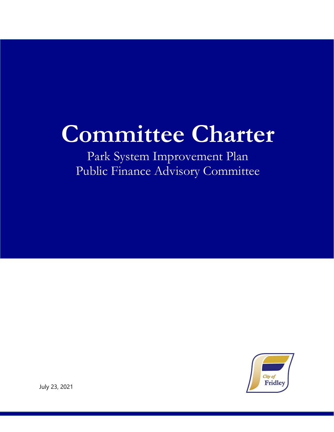## **Committee Charter**

Park System Improvement Plan Public Finance Advisory Committee



July 23, 2021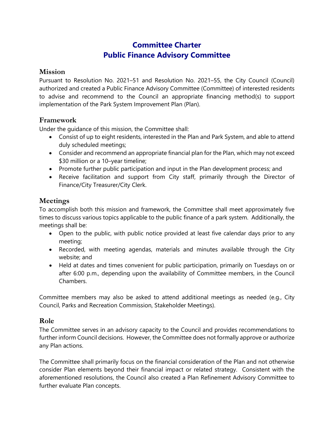### **Committee Charter Public Finance Advisory Committee**

#### **Mission**

Pursuant to Resolution No. 2021–51 and Resolution No. 2021–55, the City Council (Council) authorized and created a Public Finance Advisory Committee (Committee) of interested residents to advise and recommend to the Council an appropriate financing method(s) to support implementation of the Park System Improvement Plan (Plan).

### **Framework**

Under the guidance of this mission, the Committee shall:

- Consist of up to eight residents, interested in the Plan and Park System, and able to attend duly scheduled meetings;
- Consider and recommend an appropriate financial plan for the Plan, which may not exceed \$30 million or a 10–year timeline;
- Promote further public participation and input in the Plan development process; and
- Receive facilitation and support from City staff, primarily through the Director of Finance/City Treasurer/City Clerk.

### **Meetings**

To accomplish both this mission and framework, the Committee shall meet approximately five times to discuss various topics applicable to the public finance of a park system. Additionally, the meetings shall be:

- Open to the public, with public notice provided at least five calendar days prior to any meeting;
- Recorded, with meeting agendas, materials and minutes available through the City website; and
- Held at dates and times convenient for public participation, primarily on Tuesdays on or after 6:00 p.m., depending upon the availability of Committee members, in the Council Chambers.

Committee members may also be asked to attend additional meetings as needed (e.g., City Council, Parks and Recreation Commission, Stakeholder Meetings).

#### **Role**

The Committee serves in an advisory capacity to the Council and provides recommendations to further inform Council decisions. However, the Committee does not formally approve or authorize any Plan actions.

The Committee shall primarily focus on the financial consideration of the Plan and not otherwise consider Plan elements beyond their financial impact or related strategy. Consistent with the aforementioned resolutions, the Council also created a Plan Refinement Advisory Committee to further evaluate Plan concepts.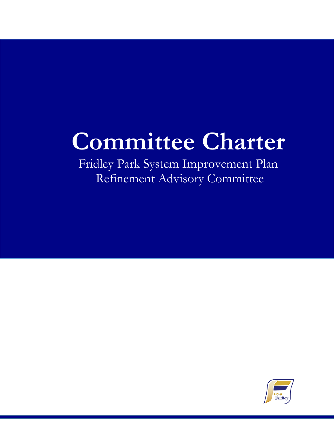# **Committee Charter**

Fridley Park System Improvement Plan Refinement Advisory Committee